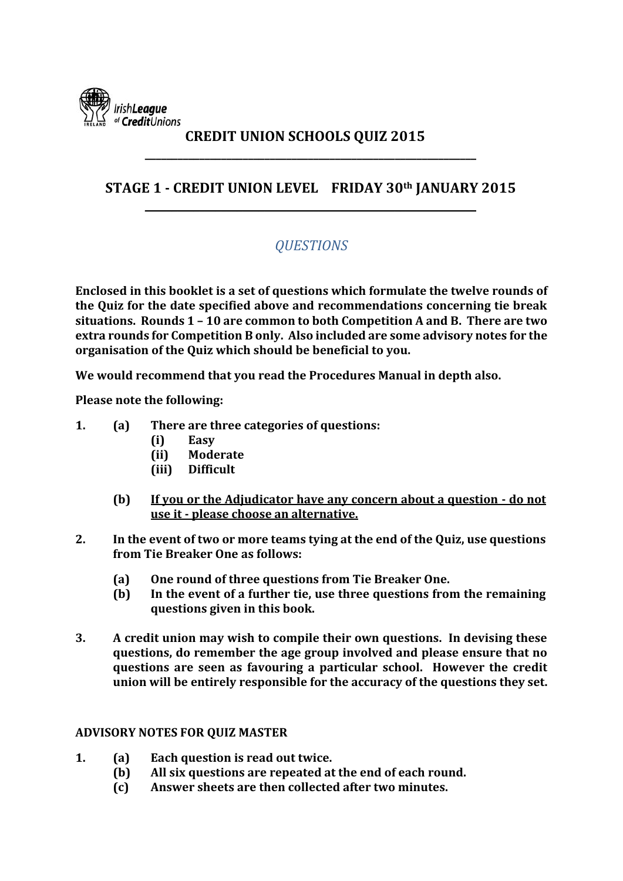

### **CREDIT UNION SCHOOLS QUIZ 2015 \_\_\_\_\_\_\_\_\_\_\_\_\_\_\_\_\_\_\_\_\_\_\_\_\_\_\_\_\_\_\_\_\_\_\_\_\_\_\_\_\_\_\_\_\_\_\_\_\_\_\_\_\_\_\_\_\_\_\_\_\_**

### **STAGE 1 - CREDIT UNION LEVEL FRIDAY 30th JANUARY 2015 \_\_\_\_\_\_\_\_\_\_\_\_\_\_\_\_\_\_\_\_\_\_\_\_\_\_\_\_\_\_\_\_\_\_\_\_\_\_\_\_\_\_\_\_\_\_\_\_\_\_\_\_\_\_\_\_\_\_\_\_\_**

## *QUESTIONS*

**Enclosed in this booklet is a set of questions which formulate the twelve rounds of the Quiz for the date specified above and recommendations concerning tie break situations. Rounds 1 – 10 are common to both Competition A and B. There are two extra rounds for Competition B only. Also included are some advisory notes for the organisation of the Quiz which should be beneficial to you.**

**We would recommend that you read the Procedures Manual in depth also.**

**Please note the following:**

- **1. (a) There are three categories of questions:**
	- **(i) Easy**
	- **(ii) Moderate**
	- **(iii) Difficult**
	- **(b) If you or the Adjudicator have any concern about a question - do not use it - please choose an alternative.**
- **2. In the event of two or more teams tying at the end of the Quiz, use questions from Tie Breaker One as follows:**
	- **(a) One round of three questions from Tie Breaker One.**
	- **(b) In the event of a further tie, use three questions from the remaining questions given in this book.**
- **3. A credit union may wish to compile their own questions. In devising these questions, do remember the age group involved and please ensure that no questions are seen as favouring a particular school. However the credit union will be entirely responsible for the accuracy of the questions they set.**

#### **ADVISORY NOTES FOR QUIZ MASTER**

- **1. (a) Each question is read out twice.**
	- **(b) All six questions are repeated at the end of each round.**
	- **(c) Answer sheets are then collected after two minutes.**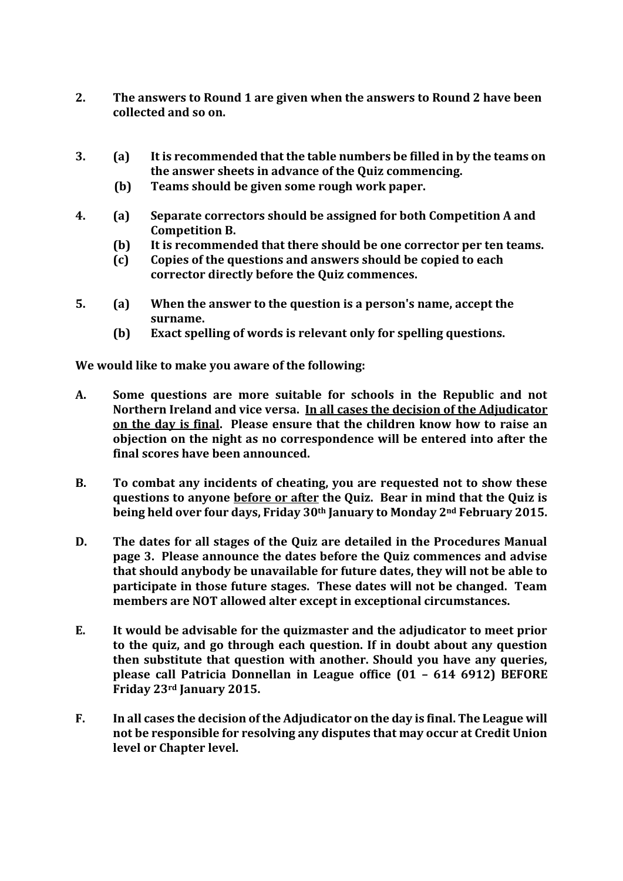- **2. The answers to Round 1 are given when the answers to Round 2 have been collected and so on.**
- **3. (a) It is recommended that the table numbers be filled in by the teams on the answer sheets in advance of the Quiz commencing.** 
	- **(b) Teams should be given some rough work paper.**
- **4. (a) Separate correctors should be assigned for both Competition A and Competition B.**
	- **(b) It is recommended that there should be one corrector per ten teams.**
	- **(c) Copies of the questions and answers should be copied to each corrector directly before the Quiz commences.**
- **5. (a) When the answer to the question is a person's name, accept the surname.**
	- **(b) Exact spelling of words is relevant only for spelling questions.**

**We would like to make you aware of the following:**

- **A. Some questions are more suitable for schools in the Republic and not Northern Ireland and vice versa. In all cases the decision of the Adjudicator on the day is final. Please ensure that the children know how to raise an objection on the night as no correspondence will be entered into after the final scores have been announced.**
- **B. To combat any incidents of cheating, you are requested not to show these questions to anyone before or after the Quiz. Bear in mind that the Quiz is being held over four days, Friday 30th January to Monday 2nd February 2015.**
- **D. The dates for all stages of the Quiz are detailed in the Procedures Manual page 3. Please announce the dates before the Quiz commences and advise that should anybody be unavailable for future dates, they will not be able to participate in those future stages. These dates will not be changed. Team members are NOT allowed alter except in exceptional circumstances.**
- **E. It would be advisable for the quizmaster and the adjudicator to meet prior to the quiz, and go through each question. If in doubt about any question then substitute that question with another. Should you have any queries, please call Patricia Donnellan in League office (01 – 614 6912) BEFORE Friday 23rd January 2015.**
- **F. In all cases the decision of the Adjudicator on the day is final. The League will not be responsible for resolving any disputes that may occur at Credit Union level or Chapter level.**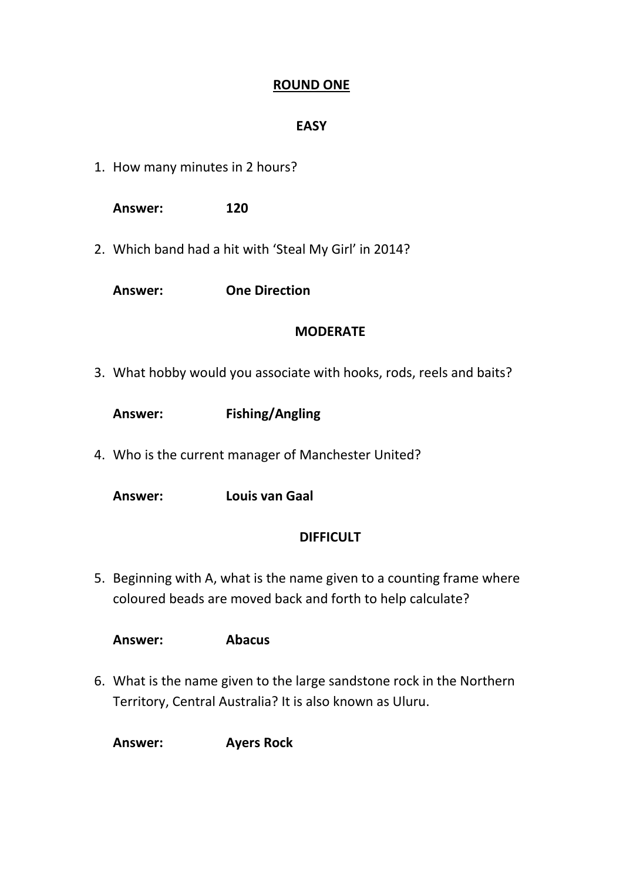### **ROUND ONE**

#### **EASY**

1. How many minutes in 2 hours?

**Answer: 120**

2. Which band had a hit with 'Steal My Girl' in 2014?

**Answer: One Direction**

#### **MODERATE**

3. What hobby would you associate with hooks, rods, reels and baits?

| Answer: | <b>Fishing/Angling</b> |
|---------|------------------------|
|---------|------------------------|

4. Who is the current manager of Manchester United?

**Answer: Louis van Gaal**

### **DIFFICULT**

5. Beginning with A, what is the name given to a counting frame where coloured beads are moved back and forth to help calculate?

**Answer: Abacus**

6. What is the name given to the large sandstone rock in the Northern Territory, Central Australia? It is also known as Uluru.

**Answer: Ayers Rock**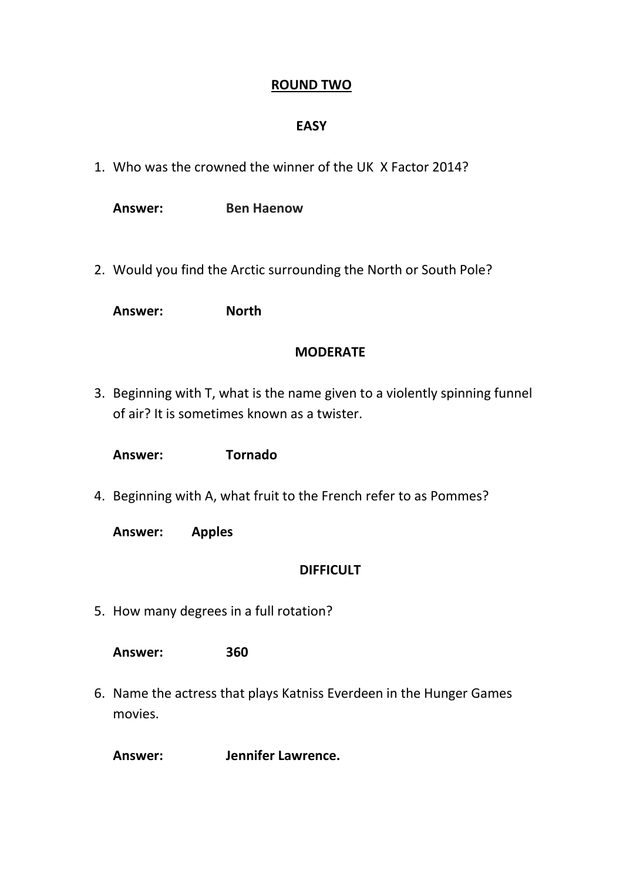#### **ROUND TWO**

#### **EASY**

1. Who was the crowned the winner of the UK X Factor 2014?

**Answer: Ben Haenow**

2. Would you find the Arctic surrounding the North or South Pole?

**Answer: North**

#### **MODERATE**

3. Beginning with T, what is the name given to a violently spinning funnel of air? It is sometimes known as a twister.

**Answer: Tornado**

4. Beginning with A, what fruit to the French refer to as Pommes?

**Answer: Apples**

#### **DIFFICULT**

5. How many degrees in a full rotation?

**Answer: 360**

6. Name the actress that plays Katniss Everdeen in the Hunger Games movies.

**Answer: Jennifer Lawrence.**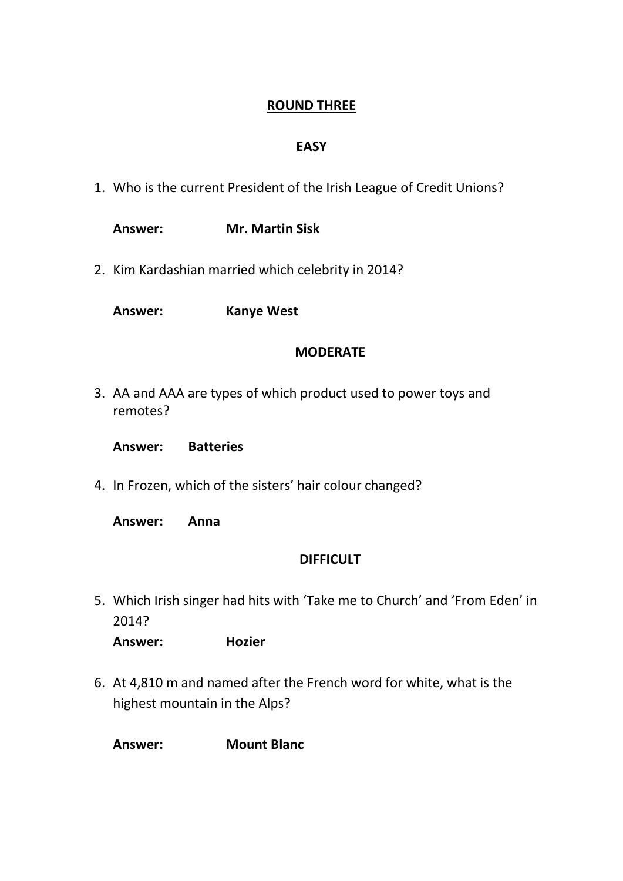## **ROUND THREE**

### **EASY**

- 1. Who is the current President of the Irish League of Credit Unions?
	- **Answer: Mr. Martin Sisk**
- 2. Kim Kardashian married which celebrity in 2014?

**Answer: Kanye West**

#### **MODERATE**

3. AA and AAA are types of which product used to power toys and remotes?

**Answer: Batteries**

4. In Frozen, which of the sisters' hair colour changed?

**Answer: Anna**

### **DIFFICULT**

5. Which Irish singer had hits with 'Take me to Church' and 'From Eden' in 2014?

**Answer: Hozier**

6. At 4,810 m and named after the French word for white, what is the highest mountain in the Alps?

**Answer: Mount Blanc**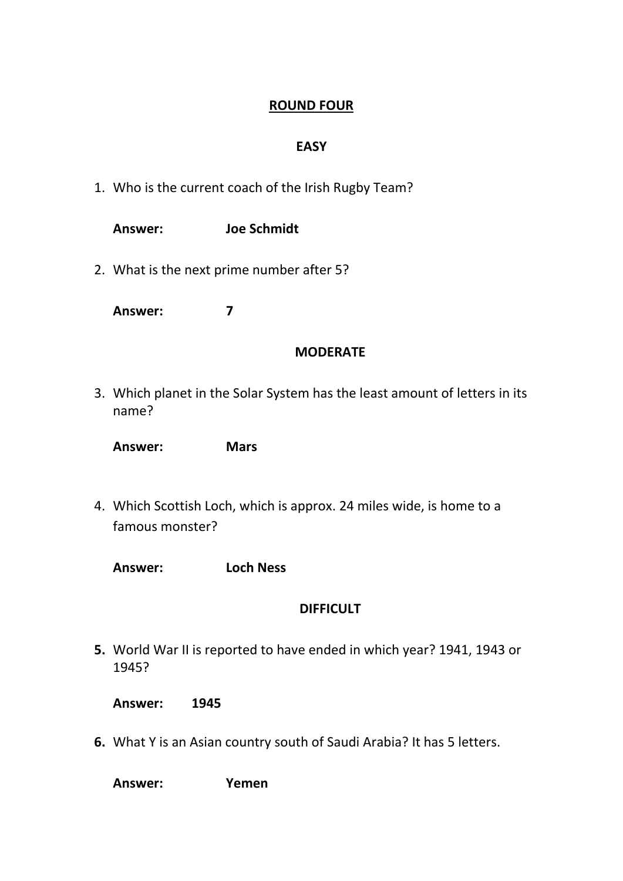### **ROUND FOUR**

### **EASY**

1. Who is the current coach of the Irish Rugby Team?

| Answer: | <b>Joe Schmidt</b>                        |
|---------|-------------------------------------------|
|         | 2. What is the next prime number after 5? |

**Answer: 7**

#### **MODERATE**

3. Which planet in the Solar System has the least amount of letters in its name?

**Answer: Mars**

- 4. Which Scottish Loch, which is approx. 24 miles wide, is home to a famous monster?
	- **Answer: Loch Ness**

### **DIFFICULT**

- **5.** World War II is reported to have ended in which year? 1941, 1943 or 1945?
	- **Answer: 1945**
- **6.** What Y is an Asian country south of Saudi Arabia? It has 5 letters.

**Answer: Yemen**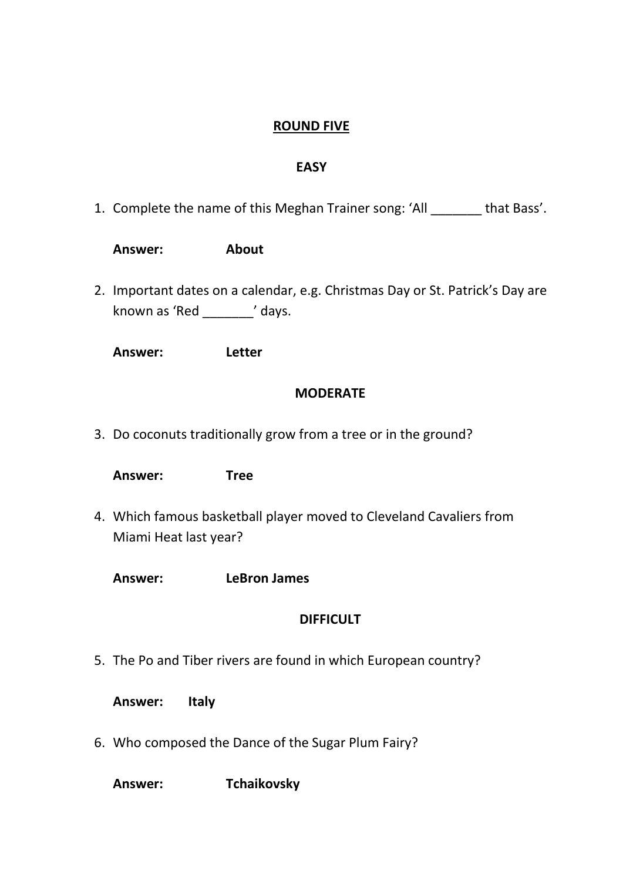### **ROUND FIVE**

#### **EASY**

1. Complete the name of this Meghan Trainer song: 'All \_\_\_\_\_\_\_ that Bass'.

| <b>About</b><br>Answer: |  |
|-------------------------|--|
|-------------------------|--|

2. Important dates on a calendar, e.g. Christmas Day or St. Patrick's Day are known as 'Red \_\_\_\_\_\_\_' days.

**Answer: Letter**

#### **MODERATE**

3. Do coconuts traditionally grow from a tree or in the ground?

**Answer: Tree**

4. Which famous basketball player moved to Cleveland Cavaliers from Miami Heat last year?

**Answer: LeBron James**

### **DIFFICULT**

- 5. The Po and Tiber rivers are found in which European country?
	- **Answer: Italy**
- 6. Who composed the Dance of the Sugar Plum Fairy?

**Answer: Tchaikovsky**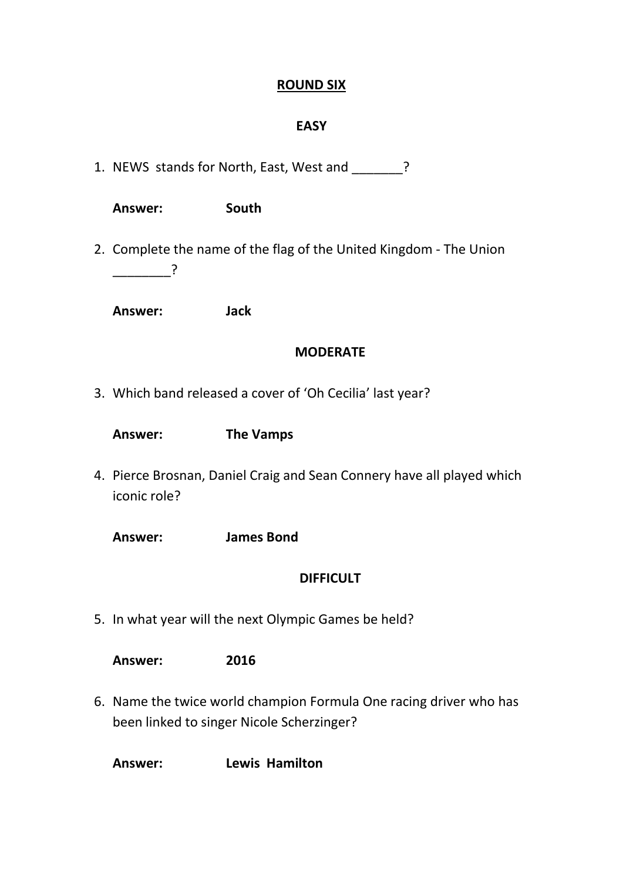#### **ROUND SIX**

#### **EASY**

1. NEWS stands for North, East, West and \_\_\_\_\_\_\_?

| Answer: | South |
|---------|-------|
|---------|-------|

2. Complete the name of the flag of the United Kingdom - The Union  $\overline{?}$ 

**Answer: Jack**

#### **MODERATE**

3. Which band released a cover of 'Oh Cecilia' last year?

- 4. Pierce Brosnan, Daniel Craig and Sean Connery have all played which iconic role?
	- **Answer: James Bond**

#### **DIFFICULT**

5. In what year will the next Olympic Games be held?

**Answer: 2016**

6. Name the twice world champion Formula One racing driver who has been linked to singer Nicole Scherzinger?

**Answer: Lewis Hamilton**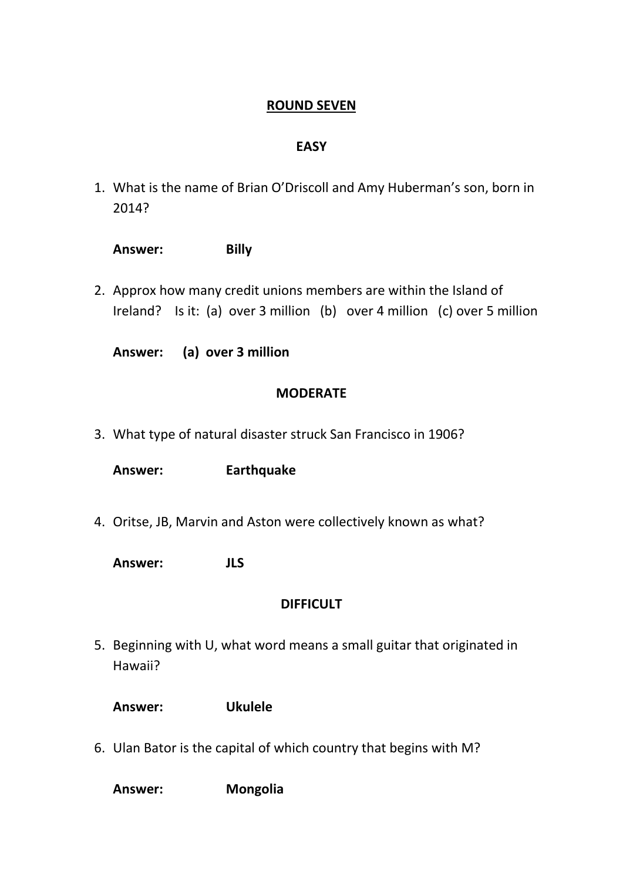### **ROUND SEVEN**

### **EASY**

1. What is the name of Brian O'Driscoll and Amy Huberman's son, born in 2014?

| Answer: | <b>Billy</b> |
|---------|--------------|
|---------|--------------|

2. Approx how many credit unions members are within the Island of Ireland? Is it: (a) over 3 million (b) over 4 million (c) over 5 million

**Answer: (a) over 3 million**

#### **MODERATE**

3. What type of natural disaster struck San Francisco in 1906?

**Answer: Earthquake**

- 4. Oritse, JB, Marvin and Aston were collectively known as what?
	- **Answer: JLS**

#### **DIFFICULT**

- 5. Beginning with U, what word means a small guitar that originated in Hawaii?
	- **Answer: Ukulele**
- 6. Ulan Bator is the capital of which country that begins with M?

**Answer: Mongolia**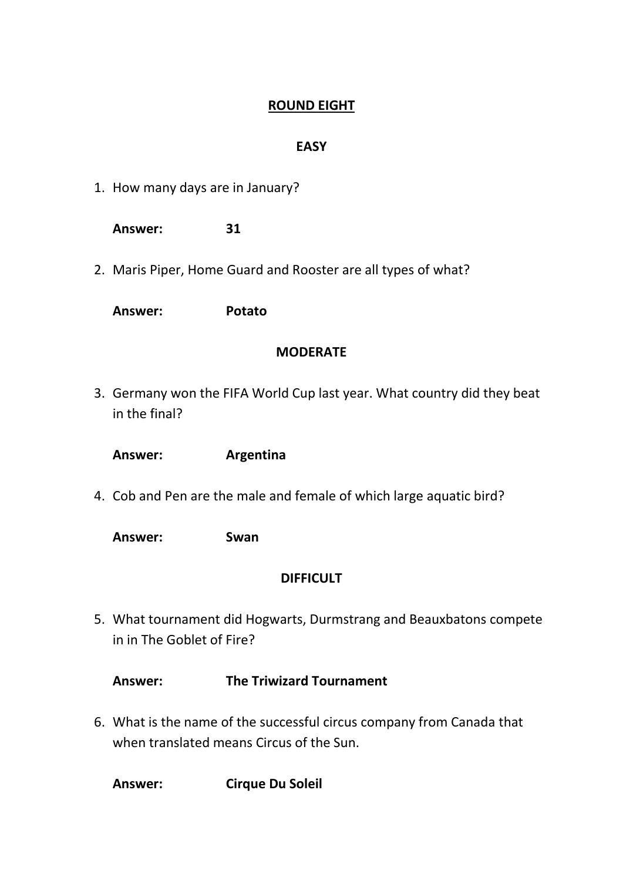## **ROUND EIGHT**

### **EASY**

1. How many days are in January?

**Answer: 31** 

2. Maris Piper, Home Guard and Rooster are all types of what?

**Answer: Potato**

### **MODERATE**

3. Germany won the FIFA World Cup last year. What country did they beat in the final?

**Answer: Argentina**

4. Cob and Pen are the male and female of which large aquatic bird?

**Answer: Swan**

### **DIFFICULT**

5. What tournament did Hogwarts, Durmstrang and Beauxbatons compete in in The Goblet of Fire?

**Answer: The Triwizard Tournament**

6. What is the name of the successful circus company from Canada that when translated means Circus of the Sun.

**Answer: Cirque Du Soleil**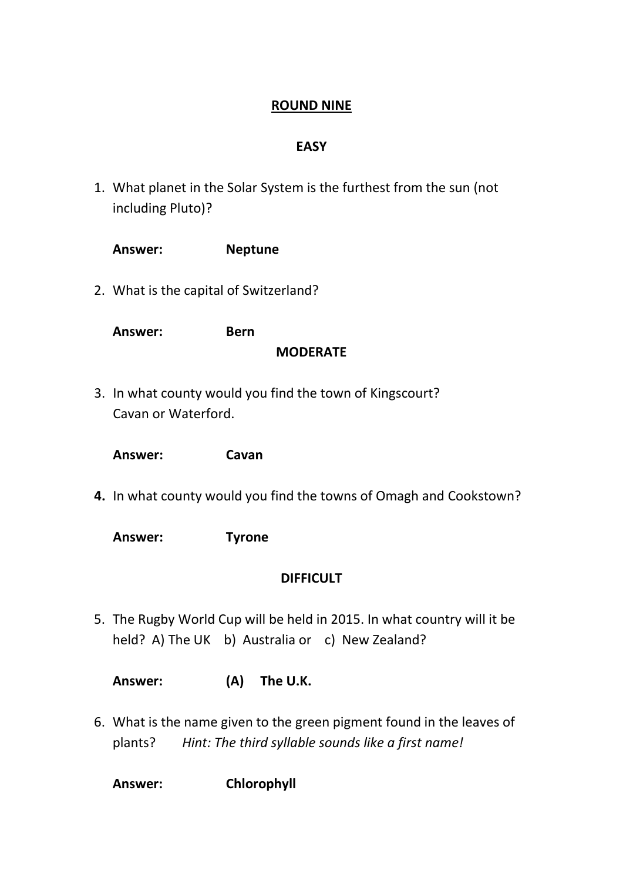## **ROUND NINE**

#### **EASY**

1. What planet in the Solar System is the furthest from the sun (not including Pluto)?

| Answer:                                | <b>Neptune</b>                                                                                                              |
|----------------------------------------|-----------------------------------------------------------------------------------------------------------------------------|
| 2. What is the capital of Switzerland? |                                                                                                                             |
| Answer:                                | <b>Bern</b><br><b>MODERATE</b>                                                                                              |
| Cavan or Waterford.                    | 3. In what county would you find the town of Kingscourt?                                                                    |
| Answer:                                | Cavan                                                                                                                       |
|                                        | 4. In what county would you find the towns of Omagh and Cookstown?                                                          |
| Answer:                                | <b>Tyrone</b>                                                                                                               |
|                                        | <b>DIFFICULT</b>                                                                                                            |
|                                        | 5. The Rugby World Cup will be held in 2015. In what country will it be<br>held? A) The UK b) Australia or c) New Zealand?  |
| Answer:                                | (A)<br>The U.K.                                                                                                             |
| plants?                                | 6. What is the name given to the green pigment found in the leaves of<br>Hint: The third syllable sounds like a first name! |

**Answer: Chlorophyll**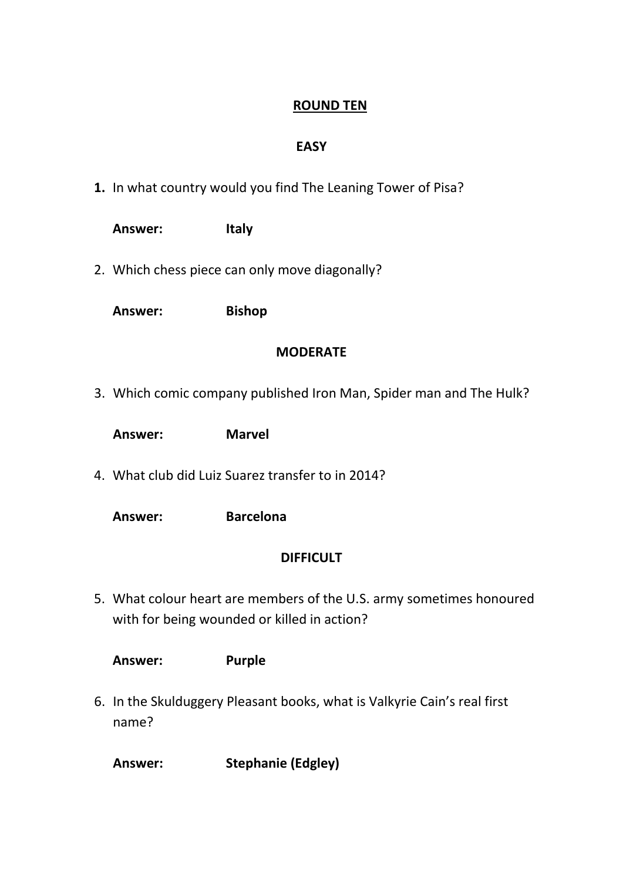# **ROUND TEN**

### **EASY**

**1.** In what country would you find The Leaning Tower of Pisa?

| <b>Answer:</b> | <b>Italy</b>                                                                                                        |
|----------------|---------------------------------------------------------------------------------------------------------------------|
|                | 2. Which chess piece can only move diagonally?                                                                      |
| <b>Answer:</b> | <b>Bishop</b>                                                                                                       |
|                | <b>MODERATE</b>                                                                                                     |
|                | 3. Which comic company published Iron Man, Spider man and The Hulk?                                                 |
| Answer:        | <b>Marvel</b>                                                                                                       |
|                | 4. What club did Luiz Suarez transfer to in 2014?                                                                   |
| Answer:        | <b>Barcelona</b>                                                                                                    |
|                | <b>DIFFICULT</b>                                                                                                    |
|                | 5. What colour heart are members of the U.S. army sometimes honoured<br>with for being wounded or killed in action? |

**Answer: Purple**

6. In the Skulduggery Pleasant books, what is Valkyrie Cain's real first name?

**Answer: Stephanie (Edgley)**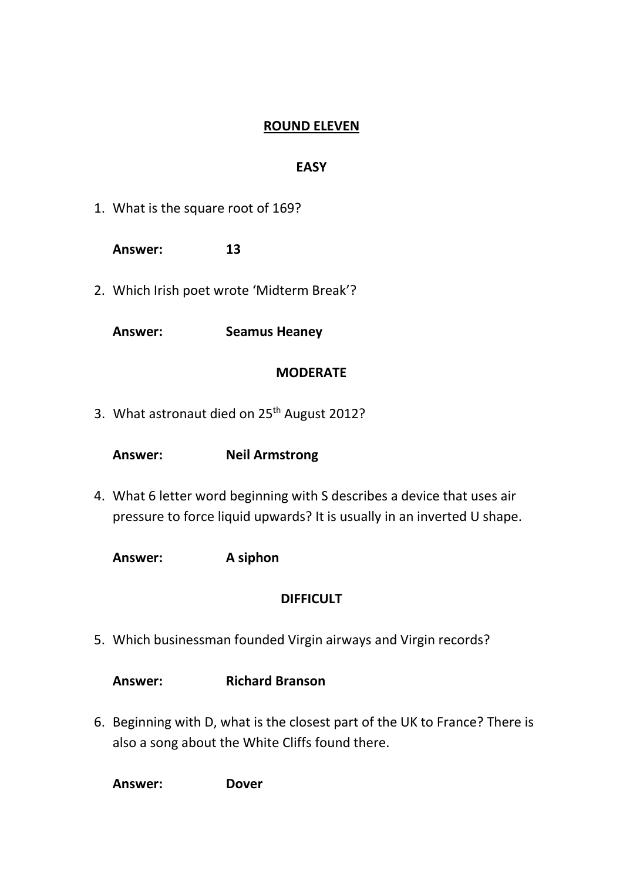### **ROUND ELEVEN**

### **EASY**

1. What is the square root of 169?

**Answer: 13**

2. Which Irish poet wrote 'Midterm Break'?

**Answer: Seamus Heaney**

#### **MODERATE**

3. What astronaut died on 25<sup>th</sup> August 2012?

**Answer: Neil Armstrong**

- 4. What 6 letter word beginning with S describes a device that uses air pressure to force liquid upwards? It is usually in an inverted U shape.
	- **Answer: A siphon**

### **DIFFICULT**

5. Which businessman founded Virgin airways and Virgin records?

**Answer: Richard Branson**

6. Beginning with D, what is the closest part of the UK to France? There is also a song about the White Cliffs found there.

**Answer: Dover**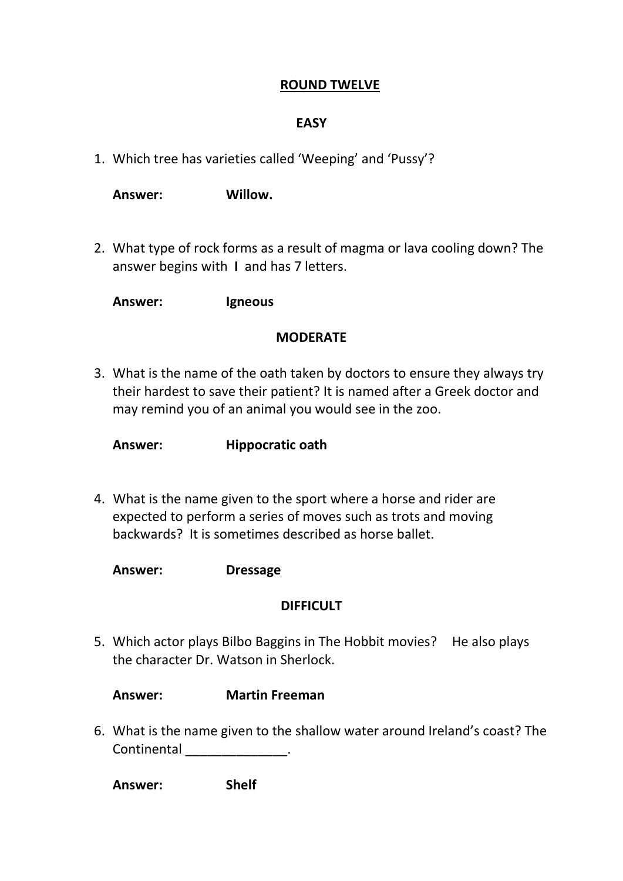#### **ROUND TWELVE**

#### **EASY**

1. Which tree has varieties called 'Weeping' and 'Pussy'?

**Answer: Willow.**

2. What type of rock forms as a result of magma or lava cooling down? The answer begins with **I** and has 7 letters.

**Answer: Igneous**

#### **MODERATE**

3. What is the name of the oath taken by doctors to ensure they always try their hardest to save their patient? It is named after a Greek doctor and may remind you of an animal you would see in the zoo.

**Answer: Hippocratic oath**

4. What is the name given to the sport where a horse and rider are expected to perform a series of moves such as trots and moving backwards? It is sometimes described as horse ballet.

**Answer: Dressage**

#### **DIFFICULT**

5. Which actor plays Bilbo Baggins in The Hobbit movies? He also plays the character Dr. Watson in Sherlock.

**Answer: Martin Freeman**

6. What is the name given to the shallow water around Ireland's coast? The Continental \_\_\_\_\_\_\_\_\_\_\_\_\_\_\_.

**Answer: Shelf**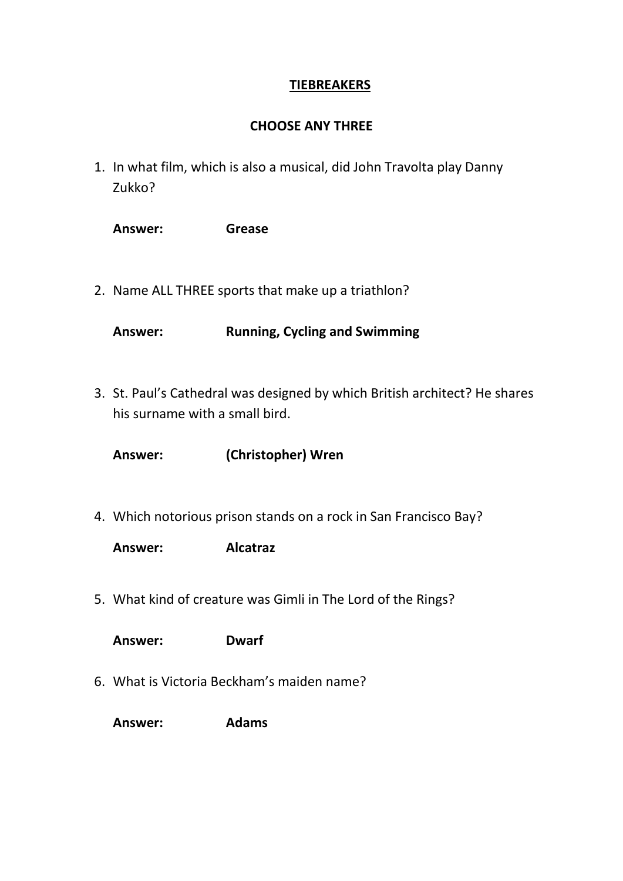### **TIEBREAKERS**

### **CHOOSE ANY THREE**

1. In what film, which is also a musical, did John Travolta play Danny Zukko?

| <b>Answer:</b> | <b>Grease</b> |
|----------------|---------------|
|                |               |

2. Name ALL THREE sports that make up a triathlon?

**Answer: Running, Cycling and Swimming**

3. St. Paul's Cathedral was designed by which British architect? He shares his surname with a small bird.

**Answer: (Christopher) Wren**

4. Which notorious prison stands on a rock in San Francisco Bay?

**Answer: Alcatraz**

5. What kind of creature was Gimli in The Lord of the Rings?

**Answer: Dwarf**

6. What is Victoria Beckham's maiden name?

**Answer: Adams**